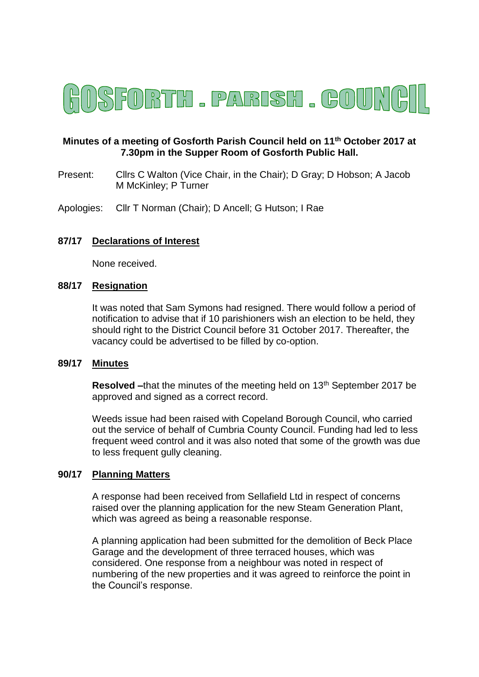

# **Minutes of a meeting of Gosforth Parish Council held on 11th October 2017 at 7.30pm in the Supper Room of Gosforth Public Hall.**

Present: Cllrs C Walton (Vice Chair, in the Chair); D Gray; D Hobson; A Jacob M McKinley; P Turner

Apologies: Cllr T Norman (Chair); D Ancell; G Hutson; I Rae

## **87/17 Declarations of Interest**

None received.

### **88/17 Resignation**

It was noted that Sam Symons had resigned. There would follow a period of notification to advise that if 10 parishioners wish an election to be held, they should right to the District Council before 31 October 2017. Thereafter, the vacancy could be advertised to be filled by co-option.

### **89/17 Minutes**

**Resolved** –that the minutes of the meeting held on 13<sup>th</sup> September 2017 be approved and signed as a correct record.

Weeds issue had been raised with Copeland Borough Council, who carried out the service of behalf of Cumbria County Council. Funding had led to less frequent weed control and it was also noted that some of the growth was due to less frequent gully cleaning.

### **90/17 Planning Matters**

A response had been received from Sellafield Ltd in respect of concerns raised over the planning application for the new Steam Generation Plant, which was agreed as being a reasonable response.

A planning application had been submitted for the demolition of Beck Place Garage and the development of three terraced houses, which was considered. One response from a neighbour was noted in respect of numbering of the new properties and it was agreed to reinforce the point in the Council's response.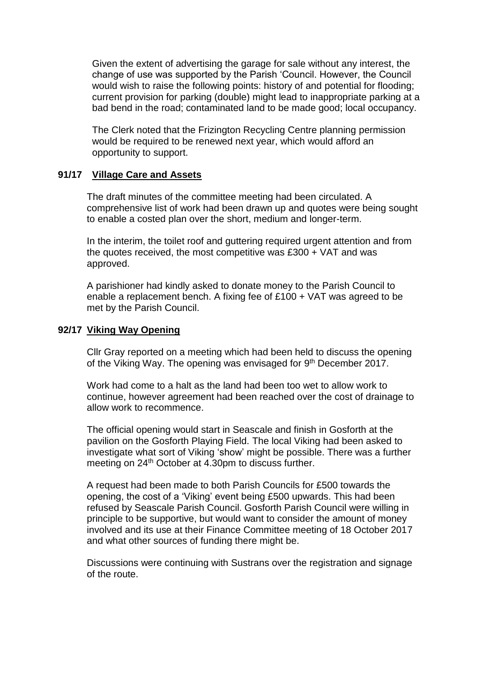Given the extent of advertising the garage for sale without any interest, the change of use was supported by the Parish 'Council. However, the Council would wish to raise the following points: history of and potential for flooding; current provision for parking (double) might lead to inappropriate parking at a bad bend in the road; contaminated land to be made good; local occupancy.

The Clerk noted that the Frizington Recycling Centre planning permission would be required to be renewed next year, which would afford an opportunity to support.

### **91/17 Village Care and Assets**

The draft minutes of the committee meeting had been circulated. A comprehensive list of work had been drawn up and quotes were being sought to enable a costed plan over the short, medium and longer-term.

In the interim, the toilet roof and guttering required urgent attention and from the quotes received, the most competitive was £300 + VAT and was approved.

A parishioner had kindly asked to donate money to the Parish Council to enable a replacement bench. A fixing fee of £100 + VAT was agreed to be met by the Parish Council.

### **92/17 Viking Way Opening**

Cllr Gray reported on a meeting which had been held to discuss the opening of the Viking Way. The opening was envisaged for 9<sup>th</sup> December 2017.

Work had come to a halt as the land had been too wet to allow work to continue, however agreement had been reached over the cost of drainage to allow work to recommence.

The official opening would start in Seascale and finish in Gosforth at the pavilion on the Gosforth Playing Field. The local Viking had been asked to investigate what sort of Viking 'show' might be possible. There was a further meeting on 24<sup>th</sup> October at 4.30pm to discuss further.

A request had been made to both Parish Councils for £500 towards the opening, the cost of a 'Viking' event being £500 upwards. This had been refused by Seascale Parish Council. Gosforth Parish Council were willing in principle to be supportive, but would want to consider the amount of money involved and its use at their Finance Committee meeting of 18 October 2017 and what other sources of funding there might be.

Discussions were continuing with Sustrans over the registration and signage of the route.